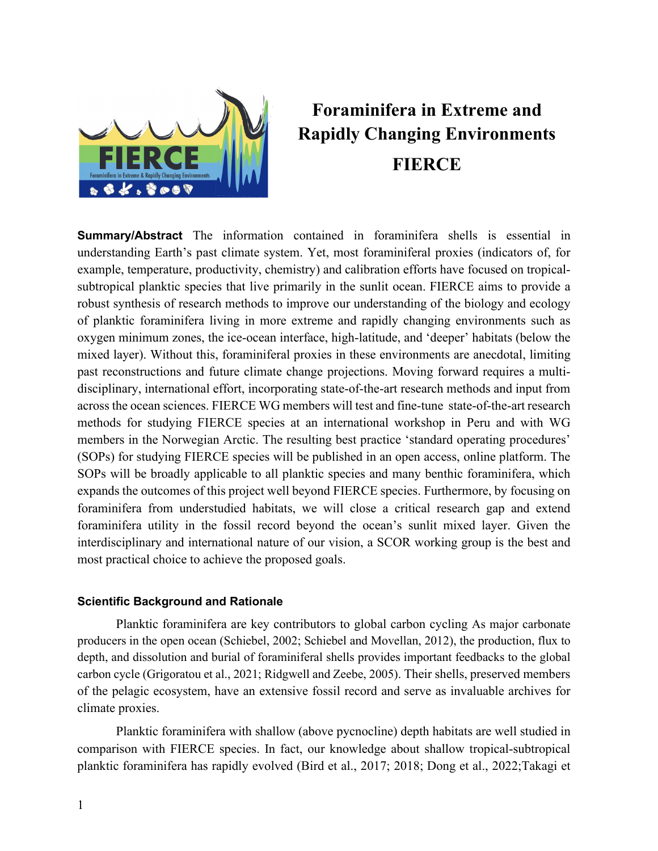

# **Foraminifera in Extreme and Rapidly Changing Environments FIERCE**

**Summary/Abstract** The information contained in foraminifera shells is essential in understanding Earth's past climate system. Yet, most foraminiferal proxies (indicators of, for example, temperature, productivity, chemistry) and calibration efforts have focused on tropicalsubtropical planktic species that live primarily in the sunlit ocean. FIERCE aims to provide a robust synthesis of research methods to improve our understanding of the biology and ecology of planktic foraminifera living in more extreme and rapidly changing environments such as oxygen minimum zones, the ice-ocean interface, high-latitude, and 'deeper' habitats (below the mixed layer). Without this, foraminiferal proxies in these environments are anecdotal, limiting past reconstructions and future climate change projections. Moving forward requires a multidisciplinary, international effort, incorporating state-of-the-art research methods and input from across the ocean sciences. FIERCE WG members will test and fine-tune state-of-the-art research methods for studying FIERCE species at an international workshop in Peru and with WG members in the Norwegian Arctic. The resulting best practice 'standard operating procedures' (SOPs) for studying FIERCE species will be published in an open access, online platform. The SOPs will be broadly applicable to all planktic species and many benthic foraminifera, which expands the outcomes of this project well beyond FIERCE species. Furthermore, by focusing on foraminifera from understudied habitats, we will close a critical research gap and extend foraminifera utility in the fossil record beyond the ocean's sunlit mixed layer. Given the interdisciplinary and international nature of our vision, a SCOR working group is the best and most practical choice to achieve the proposed goals.

### **Scientific Background and Rationale**

Planktic foraminifera are key contributors to global carbon cycling As major carbonate producers in the open ocean (Schiebel, 2002; Schiebel and Movellan, 2012), the production, flux to depth, and dissolution and burial of foraminiferal shells provides important feedbacks to the global carbon cycle (Grigoratou et al., 2021; Ridgwell and Zeebe, 2005). Their shells, preserved members of the pelagic ecosystem, have an extensive fossil record and serve as invaluable archives for climate proxies.

Planktic foraminifera with shallow (above pycnocline) depth habitats are well studied in comparison with FIERCE species. In fact, our knowledge about shallow tropical-subtropical planktic foraminifera has rapidly evolved (Bird et al., 2017; 2018; Dong et al., 2022;Takagi et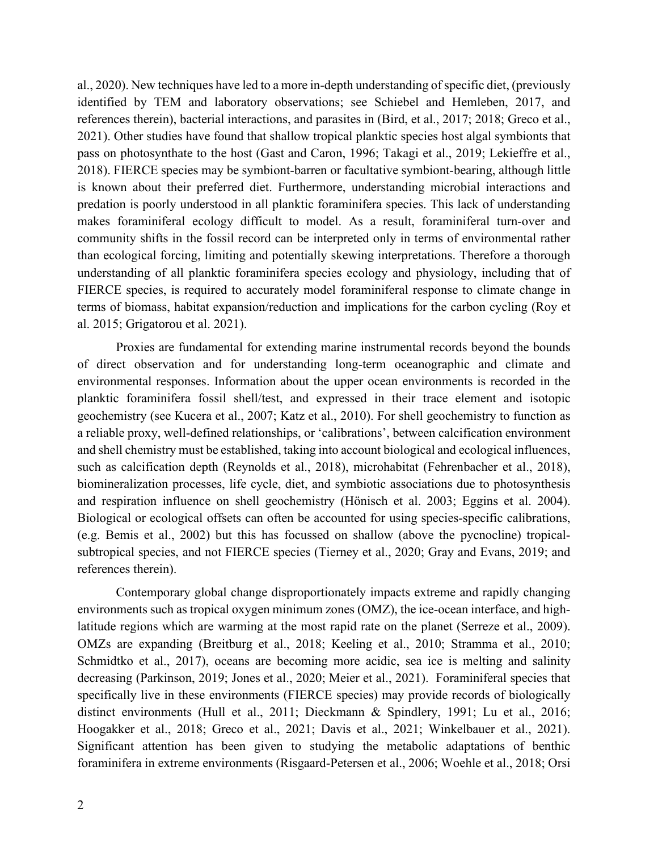al., 2020). New techniques have led to a more in-depth understanding of specific diet, (previously identified by TEM and laboratory observations; see Schiebel and Hemleben, 2017, and references therein), bacterial interactions, and parasites in (Bird, et al., 2017; 2018; Greco et al., 2021). Other studies have found that shallow tropical planktic species host algal symbionts that pass on photosynthate to the host (Gast and Caron, 1996; Takagi et al., 2019; Lekieffre et al., 2018). FIERCE species may be symbiont-barren or facultative symbiont-bearing, although little is known about their preferred diet. Furthermore, understanding microbial interactions and predation is poorly understood in all planktic foraminifera species. This lack of understanding makes foraminiferal ecology difficult to model. As a result, foraminiferal turn-over and community shifts in the fossil record can be interpreted only in terms of environmental rather than ecological forcing, limiting and potentially skewing interpretations. Therefore a thorough understanding of all planktic foraminifera species ecology and physiology, including that of FIERCE species, is required to accurately model foraminiferal response to climate change in terms of biomass, habitat expansion/reduction and implications for the carbon cycling (Roy et al. 2015; Grigatorou et al. 2021).

Proxies are fundamental for extending marine instrumental records beyond the bounds of direct observation and for understanding long-term oceanographic and climate and environmental responses. Information about the upper ocean environments is recorded in the planktic foraminifera fossil shell/test, and expressed in their trace element and isotopic geochemistry (see Kucera et al., 2007; Katz et al., 2010). For shell geochemistry to function as a reliable proxy, well-defined relationships, or 'calibrations', between calcification environment and shell chemistry must be established, taking into account biological and ecological influences, such as calcification depth (Reynolds et al., 2018), microhabitat (Fehrenbacher et al., 2018), biomineralization processes, life cycle, diet, and symbiotic associations due to photosynthesis and respiration influence on shell geochemistry (Hӧnisch et al. 2003; Eggins et al. 2004). Biological or ecological offsets can often be accounted for using species-specific calibrations, (e.g. Bemis et al., 2002) but this has focussed on shallow (above the pycnocline) tropicalsubtropical species, and not FIERCE species (Tierney et al., 2020; Gray and Evans, 2019; and references therein).

Contemporary global change disproportionately impacts extreme and rapidly changing environments such as tropical oxygen minimum zones (OMZ), the ice-ocean interface, and highlatitude regions which are warming at the most rapid rate on the planet (Serreze et al., 2009). OMZs are expanding (Breitburg et al., 2018; Keeling et al., 2010; Stramma et al., 2010; Schmidtko et al., 2017), oceans are becoming more acidic, sea ice is melting and salinity decreasing (Parkinson, 2019; Jones et al., 2020; Meier et al., 2021). Foraminiferal species that specifically live in these environments (FIERCE species) may provide records of biologically distinct environments (Hull et al., 2011; Dieckmann & Spindlery, 1991; Lu et al., 2016; Hoogakker et al., 2018; Greco et al., 2021; Davis et al., 2021; Winkelbauer et al., 2021). Significant attention has been given to studying the metabolic adaptations of benthic foraminifera in extreme environments (Risgaard-Petersen et al., 2006; Woehle et al., 2018; Orsi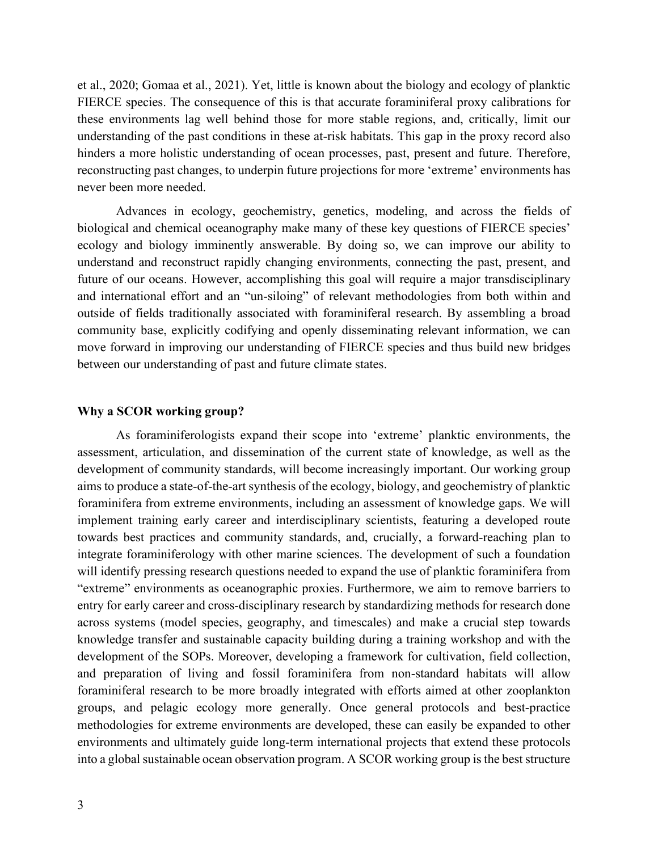et al., 2020; Gomaa et al., 2021). Yet, little is known about the biology and ecology of planktic FIERCE species. The consequence of this is that accurate foraminiferal proxy calibrations for these environments lag well behind those for more stable regions, and, critically, limit our understanding of the past conditions in these at-risk habitats. This gap in the proxy record also hinders a more holistic understanding of ocean processes, past, present and future. Therefore, reconstructing past changes, to underpin future projections for more 'extreme' environments has never been more needed.

Advances in ecology, geochemistry, genetics, modeling, and across the fields of biological and chemical oceanography make many of these key questions of FIERCE species' ecology and biology imminently answerable. By doing so, we can improve our ability to understand and reconstruct rapidly changing environments, connecting the past, present, and future of our oceans. However, accomplishing this goal will require a major transdisciplinary and international effort and an "un-siloing" of relevant methodologies from both within and outside of fields traditionally associated with foraminiferal research. By assembling a broad community base, explicitly codifying and openly disseminating relevant information, we can move forward in improving our understanding of FIERCE species and thus build new bridges between our understanding of past and future climate states.

#### **Why a SCOR working group?**

 As foraminiferologists expand their scope into 'extreme' planktic environments, the assessment, articulation, and dissemination of the current state of knowledge, as well as the development of community standards, will become increasingly important. Our working group aims to produce a state-of-the-art synthesis of the ecology, biology, and geochemistry of planktic foraminifera from extreme environments, including an assessment of knowledge gaps. We will implement training early career and interdisciplinary scientists, featuring a developed route towards best practices and community standards, and, crucially, a forward-reaching plan to integrate foraminiferology with other marine sciences. The development of such a foundation will identify pressing research questions needed to expand the use of planktic foraminifera from "extreme" environments as oceanographic proxies. Furthermore, we aim to remove barriers to entry for early career and cross-disciplinary research by standardizing methods for research done across systems (model species, geography, and timescales) and make a crucial step towards knowledge transfer and sustainable capacity building during a training workshop and with the development of the SOPs. Moreover, developing a framework for cultivation, field collection, and preparation of living and fossil foraminifera from non-standard habitats will allow foraminiferal research to be more broadly integrated with efforts aimed at other zooplankton groups, and pelagic ecology more generally. Once general protocols and best-practice methodologies for extreme environments are developed, these can easily be expanded to other environments and ultimately guide long-term international projects that extend these protocols into a global sustainable ocean observation program. A SCOR working group is the best structure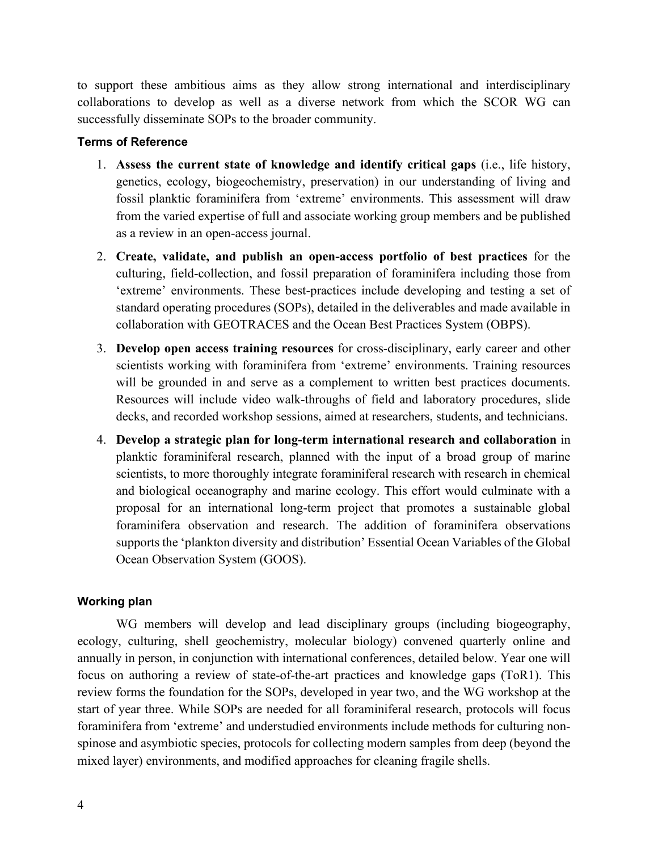to support these ambitious aims as they allow strong international and interdisciplinary collaborations to develop as well as a diverse network from which the SCOR WG can successfully disseminate SOPs to the broader community.

### **Terms of Reference**

- 1. **Assess the current state of knowledge and identify critical gaps** (i.e., life history, genetics, ecology, biogeochemistry, preservation) in our understanding of living and fossil planktic foraminifera from 'extreme' environments. This assessment will draw from the varied expertise of full and associate working group members and be published as a review in an open-access journal.
- 2. **Create, validate, and publish an open-access portfolio of best practices** for the culturing, field-collection, and fossil preparation of foraminifera including those from 'extreme' environments. These best-practices include developing and testing a set of standard operating procedures (SOPs), detailed in the deliverables and made available in collaboration with GEOTRACES and the Ocean Best Practices System (OBPS).
- 3. **Develop open access training resources** for cross-disciplinary, early career and other scientists working with foraminifera from 'extreme' environments. Training resources will be grounded in and serve as a complement to written best practices documents. Resources will include video walk-throughs of field and laboratory procedures, slide decks, and recorded workshop sessions, aimed at researchers, students, and technicians.
- 4. **Develop a strategic plan for long-term international research and collaboration** in planktic foraminiferal research, planned with the input of a broad group of marine scientists, to more thoroughly integrate foraminiferal research with research in chemical and biological oceanography and marine ecology. This effort would culminate with a proposal for an international long-term project that promotes a sustainable global foraminifera observation and research. The addition of foraminifera observations supports the 'plankton diversity and distribution' Essential Ocean Variables of the Global Ocean Observation System (GOOS).

### **Working plan**

WG members will develop and lead disciplinary groups (including biogeography, ecology, culturing, shell geochemistry, molecular biology) convened quarterly online and annually in person, in conjunction with international conferences, detailed below. Year one will focus on authoring a review of state-of-the-art practices and knowledge gaps (ToR1). This review forms the foundation for the SOPs, developed in year two, and the WG workshop at the start of year three. While SOPs are needed for all foraminiferal research, protocols will focus foraminifera from 'extreme' and understudied environments include methods for culturing nonspinose and asymbiotic species, protocols for collecting modern samples from deep (beyond the mixed layer) environments, and modified approaches for cleaning fragile shells.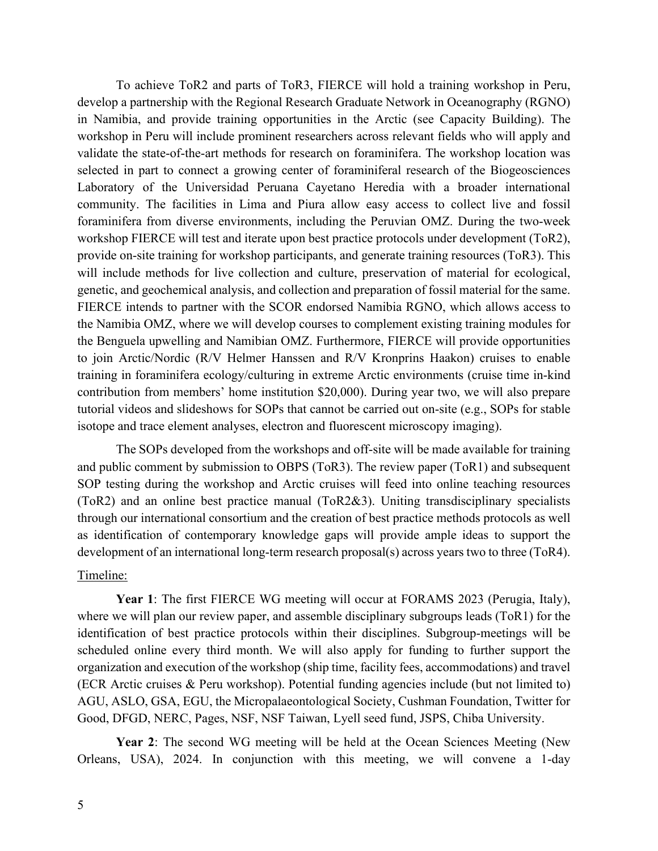To achieve ToR2 and parts of ToR3, FIERCE will hold a training workshop in Peru, develop a partnership with the Regional Research Graduate Network in Oceanography (RGNO) in Namibia, and provide training opportunities in the Arctic (see Capacity Building). The workshop in Peru will include prominent researchers across relevant fields who will apply and validate the state-of-the-art methods for research on foraminifera. The workshop location was selected in part to connect a growing center of foraminiferal research of the Biogeosciences Laboratory of the Universidad Peruana Cayetano Heredia with a broader international community. The facilities in Lima and Piura allow easy access to collect live and fossil foraminifera from diverse environments, including the Peruvian OMZ. During the two-week workshop FIERCE will test and iterate upon best practice protocols under development (ToR2), provide on-site training for workshop participants, and generate training resources (ToR3). This will include methods for live collection and culture, preservation of material for ecological, genetic, and geochemical analysis, and collection and preparation of fossil material for the same. FIERCE intends to partner with the SCOR endorsed Namibia RGNO, which allows access to the Namibia OMZ, where we will develop courses to complement existing training modules for the Benguela upwelling and Namibian OMZ. Furthermore, FIERCE will provide opportunities to join Arctic/Nordic (R/V Helmer Hanssen and R/V Kronprins Haakon) cruises to enable training in foraminifera ecology/culturing in extreme Arctic environments (cruise time in-kind contribution from members' home institution \$20,000). During year two, we will also prepare tutorial videos and slideshows for SOPs that cannot be carried out on-site (e.g., SOPs for stable isotope and trace element analyses, electron and fluorescent microscopy imaging).

The SOPs developed from the workshops and off-site will be made available for training and public comment by submission to OBPS (ToR3). The review paper (ToR1) and subsequent SOP testing during the workshop and Arctic cruises will feed into online teaching resources (ToR2) and an online best practice manual (ToR2&3). Uniting transdisciplinary specialists through our international consortium and the creation of best practice methods protocols as well as identification of contemporary knowledge gaps will provide ample ideas to support the development of an international long-term research proposal(s) across years two to three (ToR4).

# Timeline:

**Year 1**: The first FIERCE WG meeting will occur at FORAMS 2023 (Perugia, Italy), where we will plan our review paper, and assemble disciplinary subgroups leads (ToR1) for the identification of best practice protocols within their disciplines. Subgroup-meetings will be scheduled online every third month. We will also apply for funding to further support the organization and execution of the workshop (ship time, facility fees, accommodations) and travel (ECR Arctic cruises & Peru workshop). Potential funding agencies include (but not limited to) AGU, ASLO, GSA, EGU, the Micropalaeontological Society, Cushman Foundation, Twitter for Good, DFGD, NERC, Pages, NSF, NSF Taiwan, Lyell seed fund, JSPS, Chiba University.

**Year 2**: The second WG meeting will be held at the Ocean Sciences Meeting (New Orleans, USA), 2024. In conjunction with this meeting, we will convene a 1-day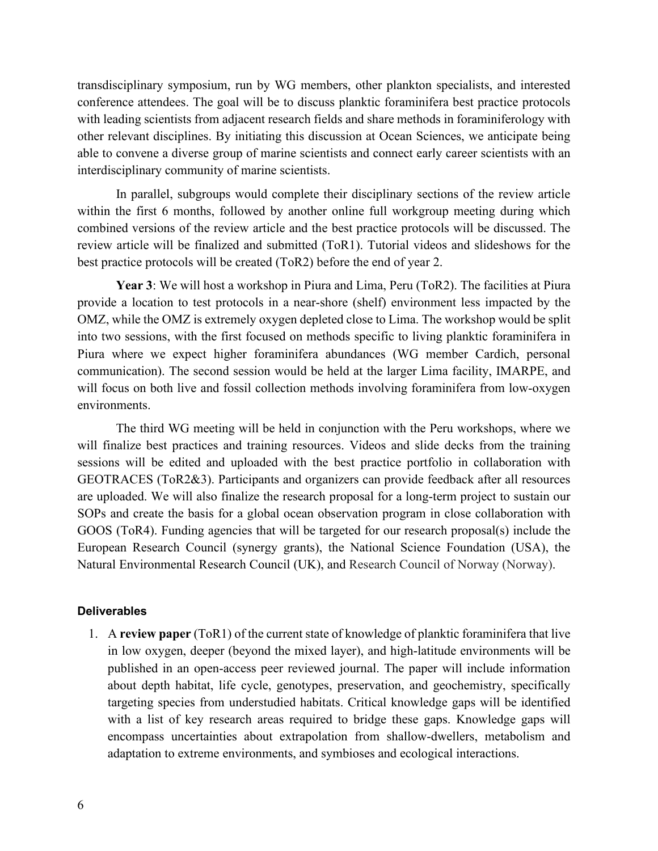transdisciplinary symposium, run by WG members, other plankton specialists, and interested conference attendees. The goal will be to discuss planktic foraminifera best practice protocols with leading scientists from adjacent research fields and share methods in foraminiferology with other relevant disciplines. By initiating this discussion at Ocean Sciences, we anticipate being able to convene a diverse group of marine scientists and connect early career scientists with an interdisciplinary community of marine scientists.

In parallel, subgroups would complete their disciplinary sections of the review article within the first 6 months, followed by another online full workgroup meeting during which combined versions of the review article and the best practice protocols will be discussed. The review article will be finalized and submitted (ToR1). Tutorial videos and slideshows for the best practice protocols will be created (ToR2) before the end of year 2.

**Year 3**: We will host a workshop in Piura and Lima, Peru (ToR2). The facilities at Piura provide a location to test protocols in a near-shore (shelf) environment less impacted by the OMZ, while the OMZ is extremely oxygen depleted close to Lima. The workshop would be split into two sessions, with the first focused on methods specific to living planktic foraminifera in Piura where we expect higher foraminifera abundances (WG member Cardich, personal communication). The second session would be held at the larger Lima facility, IMARPE, and will focus on both live and fossil collection methods involving foraminifera from low-oxygen environments.

The third WG meeting will be held in conjunction with the Peru workshops, where we will finalize best practices and training resources. Videos and slide decks from the training sessions will be edited and uploaded with the best practice portfolio in collaboration with GEOTRACES (ToR2&3). Participants and organizers can provide feedback after all resources are uploaded. We will also finalize the research proposal for a long-term project to sustain our SOPs and create the basis for a global ocean observation program in close collaboration with GOOS (ToR4). Funding agencies that will be targeted for our research proposal(s) include the European Research Council (synergy grants), the National Science Foundation (USA), the Natural Environmental Research Council (UK), and Research Council of Norway (Norway).

### **Deliverables**

1. A **review paper** (ToR1) of the current state of knowledge of planktic foraminifera that live in low oxygen, deeper (beyond the mixed layer), and high-latitude environments will be published in an open-access peer reviewed journal. The paper will include information about depth habitat, life cycle, genotypes, preservation, and geochemistry, specifically targeting species from understudied habitats. Critical knowledge gaps will be identified with a list of key research areas required to bridge these gaps. Knowledge gaps will encompass uncertainties about extrapolation from shallow-dwellers, metabolism and adaptation to extreme environments, and symbioses and ecological interactions.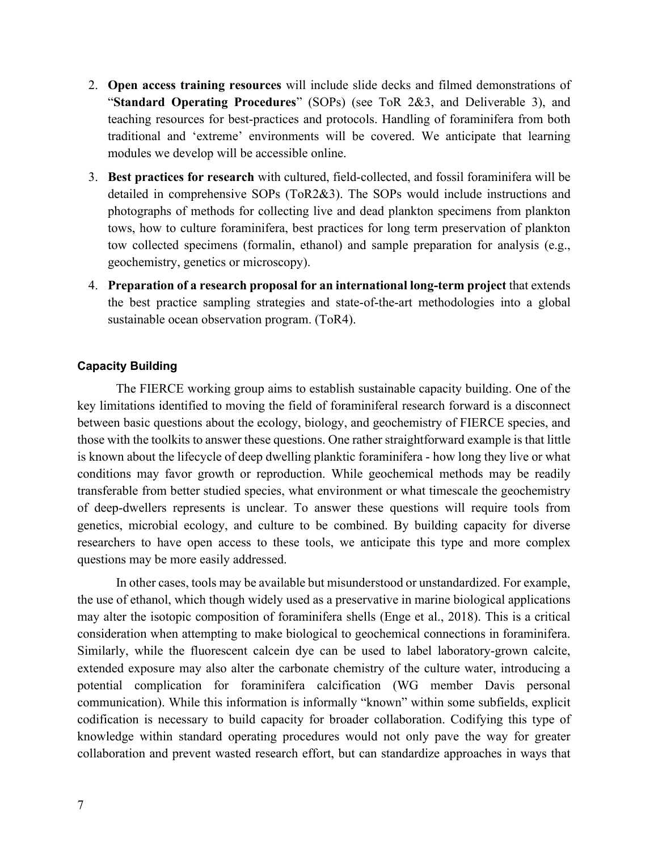- 2. **Open access training resources** will include slide decks and filmed demonstrations of "**Standard Operating Procedures**" (SOPs) (see ToR 2&3, and Deliverable 3), and teaching resources for best-practices and protocols. Handling of foraminifera from both traditional and 'extreme' environments will be covered. We anticipate that learning modules we develop will be accessible online.
- 3. **Best practices for research** with cultured, field-collected, and fossil foraminifera will be detailed in comprehensive SOPs (ToR2&3). The SOPs would include instructions and photographs of methods for collecting live and dead plankton specimens from plankton tows, how to culture foraminifera, best practices for long term preservation of plankton tow collected specimens (formalin, ethanol) and sample preparation for analysis (e.g., geochemistry, genetics or microscopy).
- 4. **Preparation of a research proposal for an international long-term project** that extends the best practice sampling strategies and state-of-the-art methodologies into a global sustainable ocean observation program. (ToR4).

### **Capacity Building**

The FIERCE working group aims to establish sustainable capacity building. One of the key limitations identified to moving the field of foraminiferal research forward is a disconnect between basic questions about the ecology, biology, and geochemistry of FIERCE species, and those with the toolkits to answer these questions. One rather straightforward example is that little is known about the lifecycle of deep dwelling planktic foraminifera - how long they live or what conditions may favor growth or reproduction. While geochemical methods may be readily transferable from better studied species, what environment or what timescale the geochemistry of deep-dwellers represents is unclear. To answer these questions will require tools from genetics, microbial ecology, and culture to be combined. By building capacity for diverse researchers to have open access to these tools, we anticipate this type and more complex questions may be more easily addressed.

In other cases, tools may be available but misunderstood or unstandardized. For example, the use of ethanol, which though widely used as a preservative in marine biological applications may alter the isotopic composition of foraminifera shells (Enge et al., 2018). This is a critical consideration when attempting to make biological to geochemical connections in foraminifera. Similarly, while the fluorescent calcein dye can be used to label laboratory-grown calcite, extended exposure may also alter the carbonate chemistry of the culture water, introducing a potential complication for foraminifera calcification (WG member Davis personal communication). While this information is informally "known" within some subfields, explicit codification is necessary to build capacity for broader collaboration. Codifying this type of knowledge within standard operating procedures would not only pave the way for greater collaboration and prevent wasted research effort, but can standardize approaches in ways that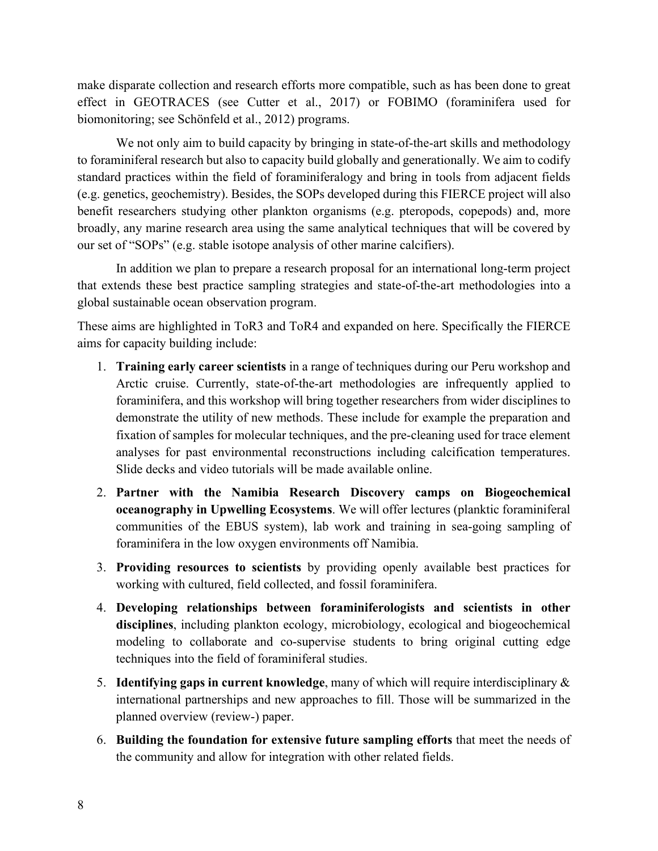make disparate collection and research efforts more compatible, such as has been done to great effect in GEOTRACES (see Cutter et al., 2017) or FOBIMO (foraminifera used for biomonitoring; see Schönfeld et al., 2012) programs.

We not only aim to build capacity by bringing in state-of-the-art skills and methodology to foraminiferal research but also to capacity build globally and generationally. We aim to codify standard practices within the field of foraminiferalogy and bring in tools from adjacent fields (e.g. genetics, geochemistry). Besides, the SOPs developed during this FIERCE project will also benefit researchers studying other plankton organisms (e.g. pteropods, copepods) and, more broadly, any marine research area using the same analytical techniques that will be covered by our set of "SOPs" (e.g. stable isotope analysis of other marine calcifiers).

In addition we plan to prepare a research proposal for an international long-term project that extends these best practice sampling strategies and state-of-the-art methodologies into a global sustainable ocean observation program.

These aims are highlighted in ToR3 and ToR4 and expanded on here. Specifically the FIERCE aims for capacity building include:

- 1. **Training early career scientists** in a range of techniques during our Peru workshop and Arctic cruise. Currently, state-of-the-art methodologies are infrequently applied to foraminifera, and this workshop will bring together researchers from wider disciplines to demonstrate the utility of new methods. These include for example the preparation and fixation of samples for molecular techniques, and the pre-cleaning used for trace element analyses for past environmental reconstructions including calcification temperatures. Slide decks and video tutorials will be made available online.
- 2. **Partner with the Namibia Research Discovery camps on Biogeochemical oceanography in Upwelling Ecosystems**. We will offer lectures (planktic foraminiferal communities of the EBUS system), lab work and training in sea-going sampling of foraminifera in the low oxygen environments off Namibia.
- 3. **Providing resources to scientists** by providing openly available best practices for working with cultured, field collected, and fossil foraminifera.
- 4. **Developing relationships between foraminiferologists and scientists in other disciplines**, including plankton ecology, microbiology, ecological and biogeochemical modeling to collaborate and co-supervise students to bring original cutting edge techniques into the field of foraminiferal studies.
- 5. **Identifying gaps in current knowledge**, many of which will require interdisciplinary & international partnerships and new approaches to fill. Those will be summarized in the planned overview (review-) paper.
- 6. **Building the foundation for extensive future sampling efforts** that meet the needs of the community and allow for integration with other related fields.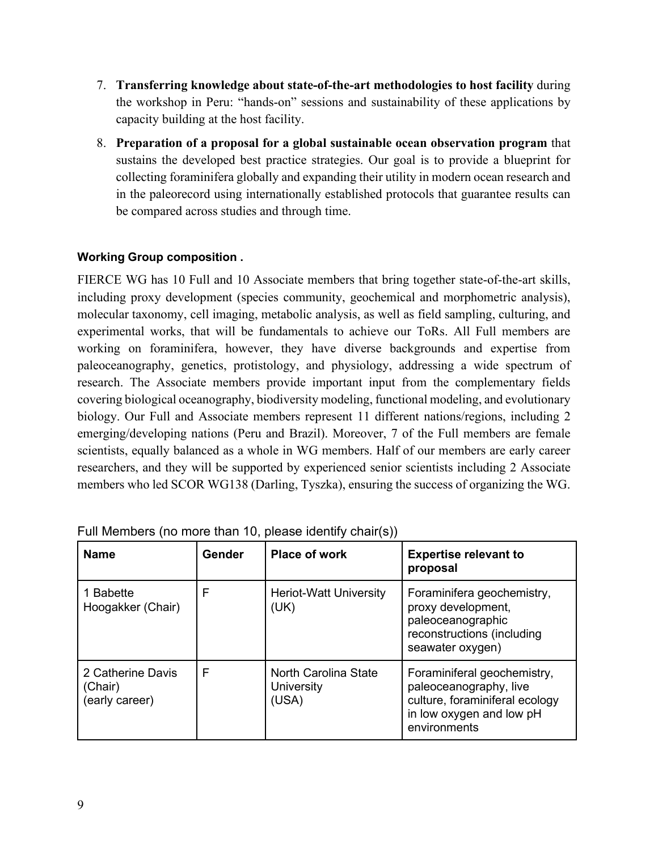- 7. **Transferring knowledge about state-of-the-art methodologies to host facility** during the workshop in Peru: "hands-on" sessions and sustainability of these applications by capacity building at the host facility.
- 8. **Preparation of a proposal for a global sustainable ocean observation program** that sustains the developed best practice strategies. Our goal is to provide a blueprint for collecting foraminifera globally and expanding their utility in modern ocean research and in the paleorecord using internationally established protocols that guarantee results can be compared across studies and through time.

# **Working Group composition .**

FIERCE WG has 10 Full and 10 Associate members that bring together state-of-the-art skills, including proxy development (species community, geochemical and morphometric analysis), molecular taxonomy, cell imaging, metabolic analysis, as well as field sampling, culturing, and experimental works, that will be fundamentals to achieve our ToRs. All Full members are working on foraminifera, however, they have diverse backgrounds and expertise from paleoceanography, genetics, protistology, and physiology, addressing a wide spectrum of research. The Associate members provide important input from the complementary fields covering biological oceanography, biodiversity modeling, functional modeling, and evolutionary biology. Our Full and Associate members represent 11 different nations/regions, including 2 emerging/developing nations (Peru and Brazil). Moreover, 7 of the Full members are female scientists, equally balanced as a whole in WG members. Half of our members are early career researchers, and they will be supported by experienced senior scientists including 2 Associate members who led SCOR WG138 (Darling, Tyszka), ensuring the success of organizing the WG.

| <b>Name</b>                                    | Gender | <b>Place of work</b>                        | <b>Expertise relevant to</b><br>proposal                                                                                            |
|------------------------------------------------|--------|---------------------------------------------|-------------------------------------------------------------------------------------------------------------------------------------|
| 1 Babette<br>Hoogakker (Chair)                 | F      | <b>Heriot-Watt University</b><br>(UK)       | Foraminifera geochemistry,<br>proxy development,<br>paleoceanographic<br>reconstructions (including<br>seawater oxygen)             |
| 2 Catherine Davis<br>(Chair)<br>(early career) | F      | North Carolina State<br>University<br>(USA) | Foraminiferal geochemistry,<br>paleoceanography, live<br>culture, foraminiferal ecology<br>in low oxygen and low pH<br>environments |

Full Members (no more than 10, please identify chair(s))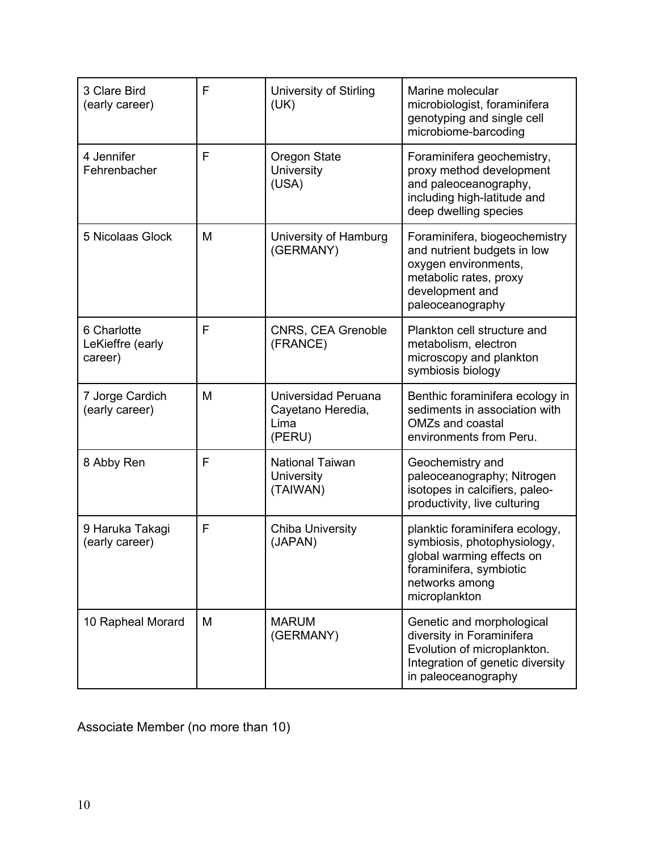| 3 Clare Bird<br>(early career)             | F | <b>University of Stirling</b><br>(UK)                      | Marine molecular<br>microbiologist, foraminifera<br>genotyping and single cell<br>microbiome-barcoding                                                   |
|--------------------------------------------|---|------------------------------------------------------------|----------------------------------------------------------------------------------------------------------------------------------------------------------|
| 4 Jennifer<br>Fehrenbacher                 | F | Oregon State<br>University<br>(USA)                        | Foraminifera geochemistry,<br>proxy method development<br>and paleoceanography,<br>including high-latitude and<br>deep dwelling species                  |
| 5 Nicolaas Glock                           | M | University of Hamburg<br>(GERMANY)                         | Foraminifera, biogeochemistry<br>and nutrient budgets in low<br>oxygen environments,<br>metabolic rates, proxy<br>development and<br>paleoceanography    |
| 6 Charlotte<br>LeKieffre (early<br>career) | F | CNRS, CEA Grenoble<br>(FRANCE)                             | Plankton cell structure and<br>metabolism, electron<br>microscopy and plankton<br>symbiosis biology                                                      |
| 7 Jorge Cardich<br>(early career)          | M | Universidad Peruana<br>Cayetano Heredia,<br>Lima<br>(PERU) | Benthic foraminifera ecology in<br>sediments in association with<br><b>OMZs and coastal</b><br>environments from Peru.                                   |
| 8 Abby Ren                                 | F | <b>National Taiwan</b><br>University<br>(TAIWAN)           | Geochemistry and<br>paleoceanography; Nitrogen<br>isotopes in calcifiers, paleo-<br>productivity, live culturing                                         |
| 9 Haruka Takagi<br>(early career)          | F | <b>Chiba University</b><br>(JAPAN)                         | planktic foraminifera ecology,<br>symbiosis, photophysiology,<br>global warming effects on<br>foraminifera, symbiotic<br>networks among<br>microplankton |
| 10 Rapheal Morard                          | M | <b>MARUM</b><br>(GERMANY)                                  | Genetic and morphological<br>diversity in Foraminifera<br>Evolution of microplankton.<br>Integration of genetic diversity<br>in paleoceanography         |

Associate Member (no more than 10)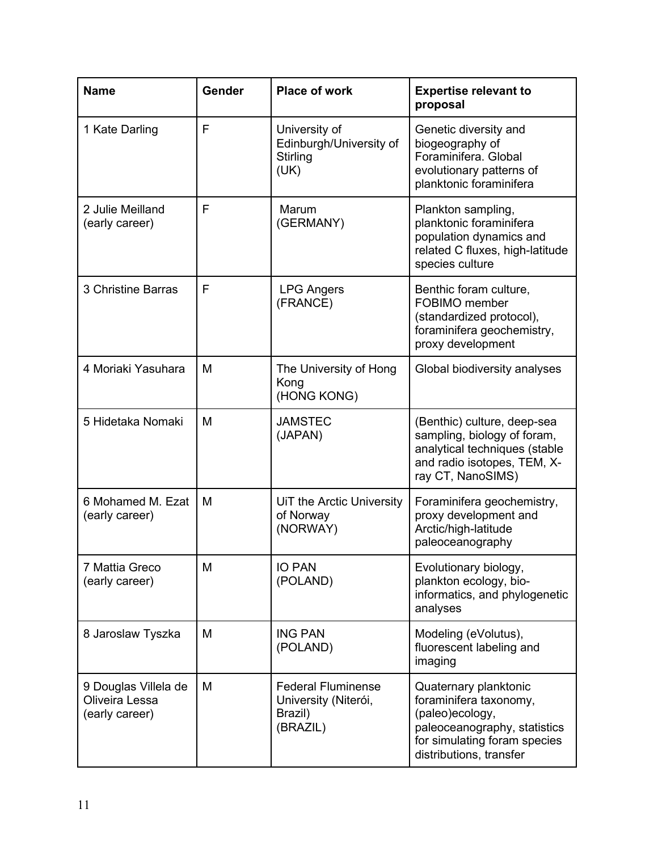| <b>Name</b>                                              | Gender | <b>Place of work</b>                                                     | <b>Expertise relevant to</b><br>proposal                                                                                                                      |
|----------------------------------------------------------|--------|--------------------------------------------------------------------------|---------------------------------------------------------------------------------------------------------------------------------------------------------------|
| 1 Kate Darling                                           | F      | University of<br>Edinburgh/University of<br>Stirling<br>(UK)             | Genetic diversity and<br>biogeography of<br>Foraminifera, Global<br>evolutionary patterns of<br>planktonic foraminifera                                       |
| 2 Julie Meilland<br>(early career)                       | F      | Marum<br>(GERMANY)                                                       | Plankton sampling,<br>planktonic foraminifera<br>population dynamics and<br>related C fluxes, high-latitude<br>species culture                                |
| 3 Christine Barras                                       | F      | <b>LPG Angers</b><br>(FRANCE)                                            | Benthic foram culture,<br>FOBIMO member<br>(standardized protocol),<br>foraminifera geochemistry,<br>proxy development                                        |
| 4 Moriaki Yasuhara                                       | M      | The University of Hong<br>Kong<br>(HONG KONG)                            | Global biodiversity analyses                                                                                                                                  |
| 5 Hidetaka Nomaki                                        | M      | <b>JAMSTEC</b><br>(JAPAN)                                                | (Benthic) culture, deep-sea<br>sampling, biology of foram,<br>analytical techniques (stable<br>and radio isotopes, TEM, X-<br>ray CT, NanoSIMS)               |
| 6 Mohamed M. Ezat<br>(early career)                      | M      | UiT the Arctic University<br>of Norway<br>(NORWAY)                       | Foraminifera geochemistry,<br>proxy development and<br>Arctic/high-latitude<br>paleoceanography                                                               |
| 7 Mattia Greco<br>(early career)                         | M      | <b>IO PAN</b><br>(POLAND)                                                | Evolutionary biology,<br>plankton ecology, bio-<br>informatics, and phylogenetic<br>analyses                                                                  |
| 8 Jaroslaw Tyszka                                        | M      | <b>ING PAN</b><br>(POLAND)                                               | Modeling (eVolutus),<br>fluorescent labeling and<br>imaging                                                                                                   |
| 9 Douglas Villela de<br>Oliveira Lessa<br>(early career) | M      | <b>Federal Fluminense</b><br>University (Niterói,<br>Brazil)<br>(BRAZIL) | Quaternary planktonic<br>foraminifera taxonomy,<br>(paleo)ecology,<br>paleoceanography, statistics<br>for simulating foram species<br>distributions, transfer |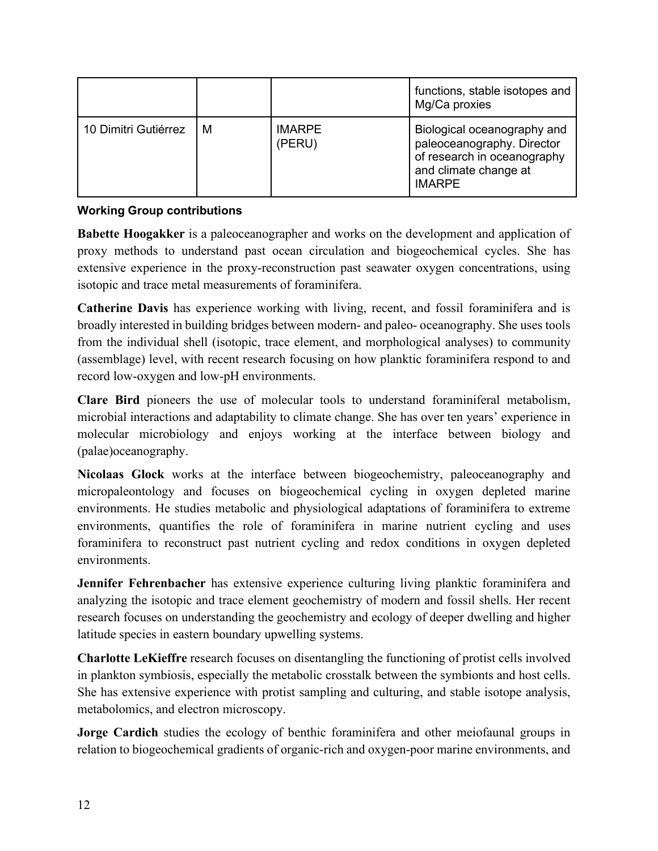|                      |   |                         | functions, stable isotopes and<br>Mg/Ca proxies                                                                                    |
|----------------------|---|-------------------------|------------------------------------------------------------------------------------------------------------------------------------|
| 10 Dimitri Gutiérrez | м | <b>IMARPE</b><br>(PERU) | Biological oceanography and<br>paleoceanography. Director<br>of research in oceanography<br>and climate change at<br><b>IMARPE</b> |

# **Working Group contributions**

**Babette Hoogakker** is a paleoceanographer and works on the development and application of proxy methods to understand past ocean circulation and biogeochemical cycles. She has extensive experience in the proxy-reconstruction past seawater oxygen concentrations, using isotopic and trace metal measurements of foraminifera.

**Catherine Davis** has experience working with living, recent, and fossil foraminifera and is broadly interested in building bridges between modern- and paleo- oceanography. She uses tools from the individual shell (isotopic, trace element, and morphological analyses) to community (assemblage) level, with recent research focusing on how planktic foraminifera respond to and record low-oxygen and low-pH environments.

**Clare Bird** pioneers the use of molecular tools to understand foraminiferal metabolism, microbial interactions and adaptability to climate change. She has over ten years' experience in molecular microbiology and enjoys working at the interface between biology and (palae)oceanography.

**Nicolaas Glock** works at the interface between biogeochemistry, paleoceanography and micropaleontology and focuses on biogeochemical cycling in oxygen depleted marine environments. He studies metabolic and physiological adaptations of foraminifera to extreme environments, quantifies the role of foraminifera in marine nutrient cycling and uses foraminifera to reconstruct past nutrient cycling and redox conditions in oxygen depleted environments.

**Jennifer Fehrenbacher** has extensive experience culturing living planktic foraminifera and analyzing the isotopic and trace element geochemistry of modern and fossil shells. Her recent research focuses on understanding the geochemistry and ecology of deeper dwelling and higher latitude species in eastern boundary upwelling systems.

**Charlotte LeKieffre** research focuses on disentangling the functioning of protist cells involved in plankton symbiosis, especially the metabolic crosstalk between the symbionts and host cells. She has extensive experience with protist sampling and culturing, and stable isotope analysis, metabolomics, and electron microscopy.

**Jorge Cardich** studies the ecology of benthic foraminifera and other meiofaunal groups in relation to biogeochemical gradients of organic-rich and oxygen-poor marine environments, and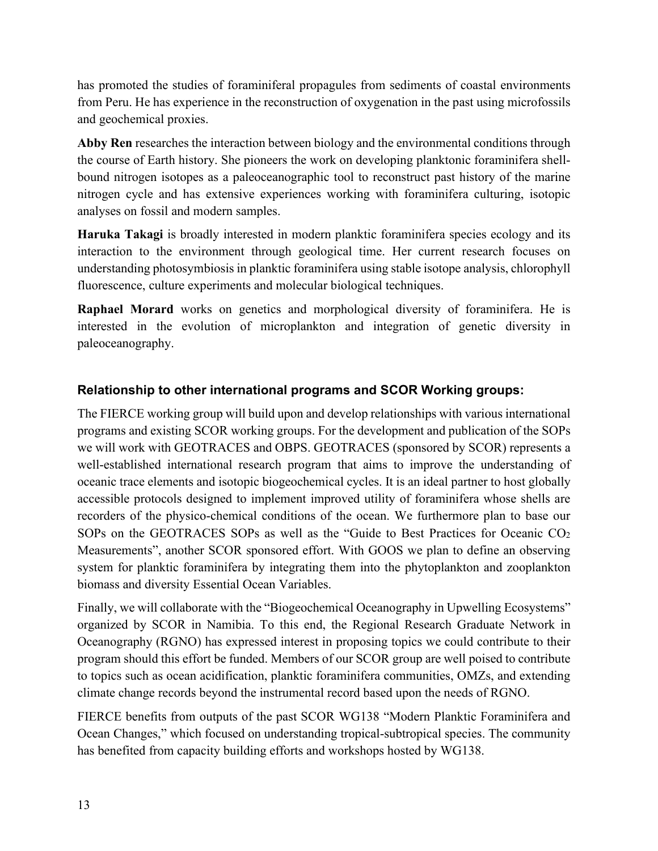has promoted the studies of foraminiferal propagules from sediments of coastal environments from Peru. He has experience in the reconstruction of oxygenation in the past using microfossils and geochemical proxies.

**Abby Ren** researches the interaction between biology and the environmental conditions through the course of Earth history. She pioneers the work on developing planktonic foraminifera shellbound nitrogen isotopes as a paleoceanographic tool to reconstruct past history of the marine nitrogen cycle and has extensive experiences working with foraminifera culturing, isotopic analyses on fossil and modern samples.

**Haruka Takagi** is broadly interested in modern planktic foraminifera species ecology and its interaction to the environment through geological time. Her current research focuses on understanding photosymbiosis in planktic foraminifera using stable isotope analysis, chlorophyll fluorescence, culture experiments and molecular biological techniques.

**Raphael Morard** works on genetics and morphological diversity of foraminifera. He is interested in the evolution of microplankton and integration of genetic diversity in paleoceanography.

# **Relationship to other international programs and SCOR Working groups:**

The FIERCE working group will build upon and develop relationships with various international programs and existing SCOR working groups. For the development and publication of the SOPs we will work with GEOTRACES and OBPS. GEOTRACES (sponsored by SCOR) represents a well-established international research program that aims to improve the understanding of oceanic trace elements and isotopic biogeochemical cycles. It is an ideal partner to host globally accessible protocols designed to implement improved utility of foraminifera whose shells are recorders of the physico-chemical conditions of the ocean. We furthermore plan to base our SOPs on the GEOTRACES SOPs as well as the "Guide to Best Practices for Oceanic CO<sub>2</sub> Measurements", another SCOR sponsored effort. With GOOS we plan to define an observing system for planktic foraminifera by integrating them into the phytoplankton and zooplankton biomass and diversity Essential Ocean Variables.

Finally, we will collaborate with the "Biogeochemical Oceanography in Upwelling Ecosystems" organized by SCOR in Namibia. To this end, the Regional Research Graduate Network in Oceanography (RGNO) has expressed interest in proposing topics we could contribute to their program should this effort be funded. Members of our SCOR group are well poised to contribute to topics such as ocean acidification, planktic foraminifera communities, OMZs, and extending climate change records beyond the instrumental record based upon the needs of RGNO.

FIERCE benefits from outputs of the past SCOR WG138 "Modern Planktic Foraminifera and Ocean Changes," which focused on understanding tropical-subtropical species. The community has benefited from capacity building efforts and workshops hosted by WG138.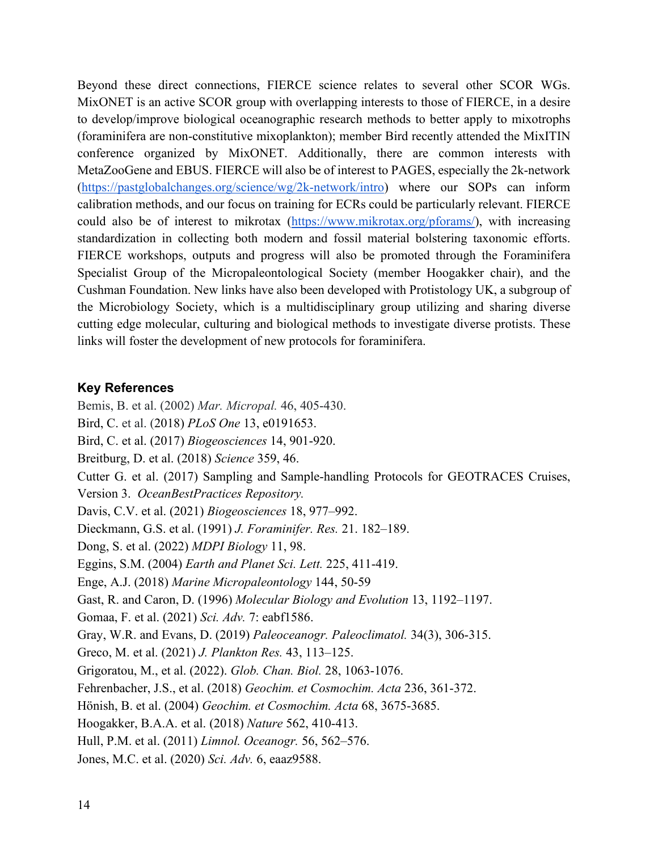Beyond these direct connections, FIERCE science relates to several other SCOR WGs. MixONET is an active SCOR group with overlapping interests to those of FIERCE, in a desire to develop/improve biological oceanographic research methods to better apply to mixotrophs (foraminifera are non-constitutive mixoplankton); member Bird recently attended the MixITIN conference organized by MixONET. Additionally, there are common interests with MetaZooGene and EBUS. FIERCE will also be of interest to PAGES, especially the 2k-network [\(https://pastglobalchanges.org/science/wg/2k-network/intro\)](https://pastglobalchanges.org/science/wg/2k-network/intro) where our SOPs can inform calibration methods, and our focus on training for ECRs could be particularly relevant. FIERCE could also be of interest to mikrotax [\(https://www.mikrotax.org/pforams/\)](https://www.mikrotax.org/pforams/), with increasing standardization in collecting both modern and fossil material bolstering taxonomic efforts. FIERCE workshops, outputs and progress will also be promoted through the Foraminifera Specialist Group of the Micropaleontological Society (member Hoogakker chair), and the Cushman Foundation. New links have also been developed with Protistology UK, a subgroup of the Microbiology Society, which is a multidisciplinary group utilizing and sharing diverse cutting edge molecular, culturing and biological methods to investigate diverse protists. These links will foster the development of new protocols for foraminifera.

# **Key References**

Bemis, B. et al. (2002) *Mar. Micropal.* 46, 405-430. Bird, C. et al. (2018) *PLoS One* 13, e0191653. Bird, C. et al. (2017) *Biogeosciences* 14, 901-920. Breitburg, D. et al. (2018) *Science* 359, 46. Cutter G. et al. (2017) Sampling and Sample-handling Protocols for GEOTRACES Cruises, Version 3. *OceanBestPractices Repository.* Davis, C.V. et al. (2021) *Biogeosciences* 18, 977–992. Dieckmann, G.S. et al. (1991) *J. Foraminifer. Res.* 21. 182–189. Dong, S. et al. (2022) *MDPI Biology* 11, 98. Eggins, S.M. (2004) *Earth and Planet Sci. Lett.* 225, 411-419. Enge, A.J. (2018) *Marine Micropaleontology* 144, 50-59 Gast, R. and Caron, D. (1996) *Molecular Biology and Evolution* 13, 1192–1197. Gomaa, F. et al. (2021) *Sci. Adv.* 7: eabf1586. Gray, W.R. and Evans, D. (2019) *Paleoceanogr. Paleoclimatol.* 34(3), 306-315. Greco, M. et al. (2021) *J. Plankton Res.* 43, 113–125. Grigoratou, M., et al. (2022). *Glob. Chan. Biol.* 28, 1063-1076. Fehrenbacher, J.S., et al. (2018) *Geochim. et Cosmochim. Acta* 236, 361-372. Hönish, B. et al. (2004) *Geochim. et Cosmochim. Acta* 68, 3675-3685. Hoogakker, B.A.A. et al. (2018) *Nature* 562, 410-413. Hull, P.M. et al. (2011) *Limnol. Oceanogr.* 56, 562–576. Jones, M.C. et al. (2020) *Sci. Adv.* 6, eaaz9588.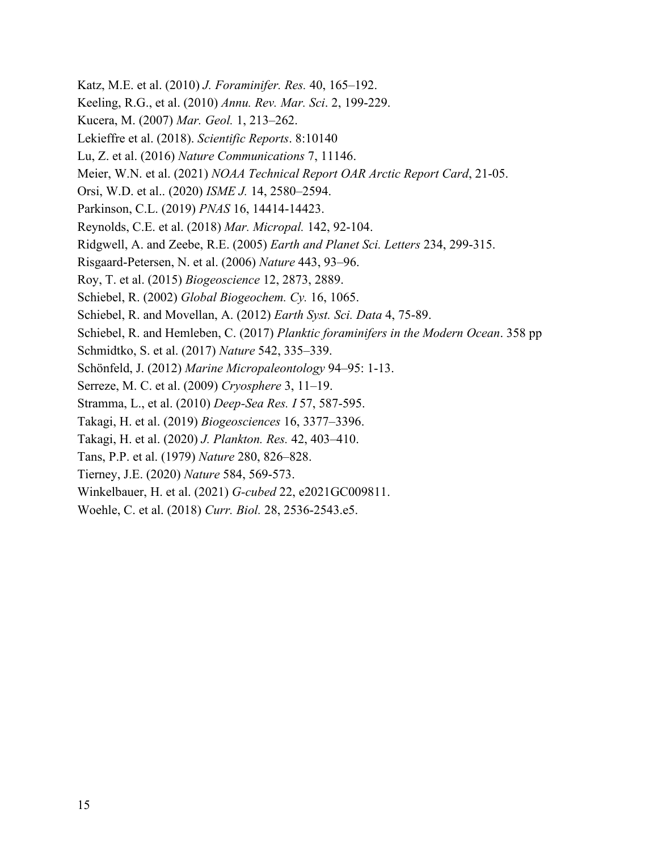Katz, M.E. et al. (2010) *J. Foraminifer. Res.* 40, 165–192. Keeling, R.G., et al. (2010) *Annu. Rev. Mar. Sci*. 2, 199-229. Kucera, M. (2007) *Mar. Geol.* 1, 213–262. Lekieffre et al. (2018). *Scientific Reports*. 8:10140 Lu, Z. et al. (2016) *Nature Communications* 7, 11146. Meier, W.N. et al. (2021) *NOAA Technical Report OAR Arctic Report Card*, 21-05. Orsi, W.D. et al.. (2020) *ISME J.* 14, 2580–2594. Parkinson, C.L. (2019) *PNAS* 16, 14414-14423. Reynolds, C.E. et al. (2018) *Mar. Micropal.* 142, 92-104. Ridgwell, A. and Zeebe, R.E. (2005) *Earth and Planet Sci. Letters* 234, 299-315. Risgaard-Petersen, N. et al. (2006) *Nature* 443, 93–96. Roy, T. et al. (2015) *Biogeoscience* 12, 2873, 2889. Schiebel, R. (2002) *Global Biogeochem. Cy.* 16, 1065. Schiebel, R. and Movellan, A. (2012) *Earth Syst. Sci. Data* 4, 75-89. Schiebel, R. and Hemleben, C. (2017) *Planktic foraminifers in the Modern Ocean*. 358 pp Schmidtko, S. et al. (2017) *Nature* 542, 335–339. Schönfeld, J. (2012) *Marine Micropaleontology* 94–95: 1-13. Serreze, M. C. et al. (2009) *Cryosphere* 3, 11–19. Stramma, L., et al. (2010) *Deep-Sea Res. I* 57, 587-595. Takagi, H. et al. (2019) *Biogeosciences* 16, 3377–3396. Takagi, H. et al. (2020) *J. Plankton. Res.* 42, 403–410. Tans, P.P. et al. (1979) *Nature* 280, 826–828. Tierney, J.E. (2020) *Nature* 584, 569-573. Winkelbauer, H. et al. (2021) *G-cubed* 22, e2021GC009811. Woehle, C. et al. (2018) *Curr. Biol.* 28, 2536-2543.e5.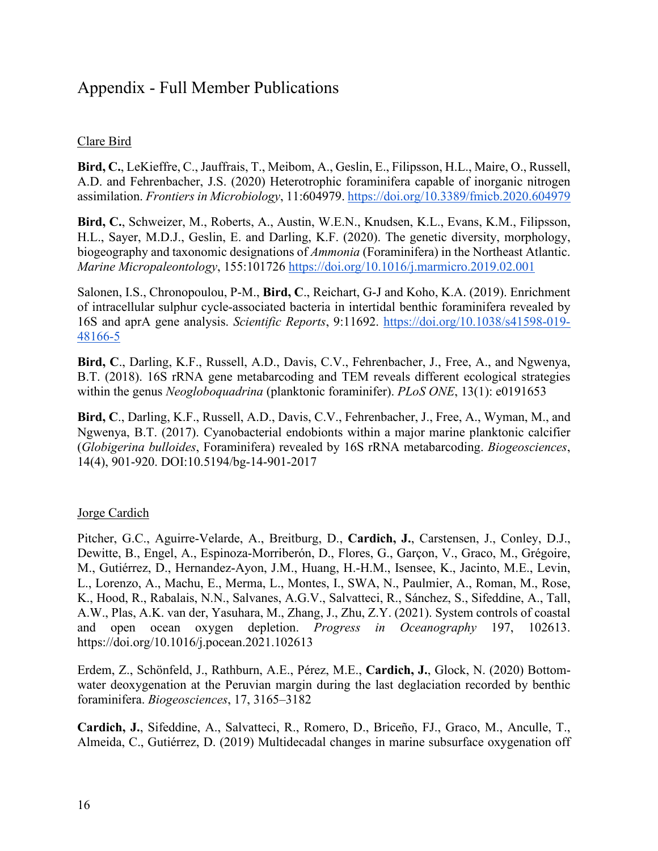# Appendix - Full Member Publications

# Clare Bird

**Bird, C.**, LeKieffre, C., Jauffrais, T., Meibom, A., Geslin, E., Filipsson, H.L., Maire, O., Russell, A.D. and Fehrenbacher, J.S. (2020) Heterotrophic foraminifera capable of inorganic nitrogen assimilation. *Frontiers in Microbiology*, 11:604979.<https://doi.org/10.3389/fmicb.2020.604979>

**Bird, C.**, Schweizer, M., Roberts, A., Austin, W.E.N., Knudsen, K.L., Evans, K.M., Filipsson, H.L., Sayer, M.D.J., Geslin, E. and Darling, K.F. (2020). The genetic diversity, morphology, biogeography and taxonomic designations of *Ammonia* (Foraminifera) in the Northeast Atlantic. *Marine Micropaleontology*, 155:101726<https://doi.org/10.1016/j.marmicro.2019.02.001>

Salonen, I.S., Chronopoulou, P-M., **Bird, C**., Reichart, G-J and Koho, K.A. (2019). Enrichment of intracellular sulphur cycle-associated bacteria in intertidal benthic foraminifera revealed by 16S and aprA gene analysis. *Scientific Reports*, 9:11692. [https://doi.org/10.1038/s41598](https://doi.org/10.1038/s41598-019-48166-5)-019- [48166](https://doi.org/10.1038/s41598-019-48166-5)-5

**Bird, C**., Darling, K.F., Russell, A.D., Davis, C.V., Fehrenbacher, J., Free, A., and Ngwenya, B.T. (2018). 16S rRNA gene metabarcoding and TEM reveals different ecological strategies within the genus *Neogloboquadrina* (planktonic foraminifer). *PLoS ONE*, 13(1): e0191653

**Bird, C**., Darling, K.F., Russell, A.D., Davis, C.V., Fehrenbacher, J., Free, A., Wyman, M., and Ngwenya, B.T. (2017). Cyanobacterial endobionts within a major marine planktonic calcifier (*Globigerina bulloides*, Foraminifera) revealed by 16S rRNA metabarcoding. *Biogeosciences*, 14(4), 901-920. DOI:10.5194/bg-14-901-2017

# Jorge Cardich

Pitcher, G.C., Aguirre-Velarde, A., Breitburg, D., **Cardich, J.**, Carstensen, J., Conley, D.J., Dewitte, B., Engel, A., Espinoza-Morriberón, D., Flores, G., Garçon, V., Graco, M., Grégoire, M., Gutiérrez, D., Hernandez-Ayon, J.M., Huang, H.-H.M., Isensee, K., Jacinto, M.E., Levin, L., Lorenzo, A., Machu, E., Merma, L., Montes, I., SWA, N., Paulmier, A., Roman, M., Rose, K., Hood, R., Rabalais, N.N., Salvanes, A.G.V., Salvatteci, R., Sánchez, S., Sifeddine, A., Tall, A.W., Plas, A.K. van der, Yasuhara, M., Zhang, J., Zhu, Z.Y. (2021). System controls of coastal and open ocean oxygen depletion. *Progress in Oceanography* 197, 102613[.](https://doi.org/10.1016/j.pocean.2021.102613) <https://doi.org/10.1016/j.pocean.2021.102613>

Erdem, Z., Schönfeld, J., Rathburn, A.E., Pérez, M.E., **Cardich, J.**, Glock, N. (2020) Bottomwater deoxygenation at the Peruvian margin during the last deglaciation recorded by benthic foraminifera. *Biogeosciences*, 17, 3165–3182

**Cardich, J.**, Sifeddine, A., Salvatteci, R., Romero, D., Briceño, FJ., Graco, M., Anculle, T., Almeida, C., Gutiérrez, D. (2019) Multidecadal changes in marine subsurface oxygenation off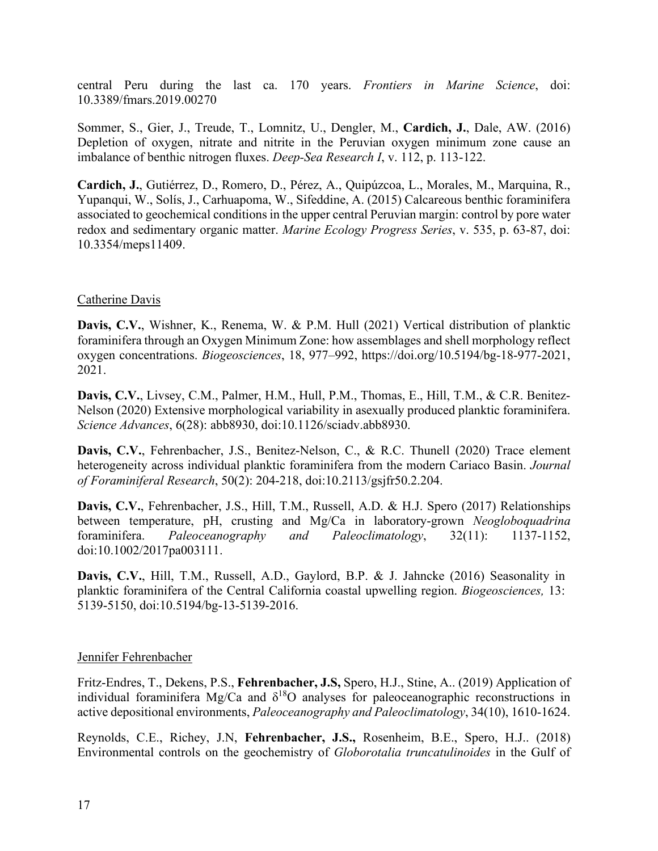central Peru during the last ca. 170 years. *Frontiers in Marine Science*, doi: 10.3389/fmars.2019.00270

Sommer, S., Gier, J., Treude, T., Lomnitz, U., Dengler, M., **Cardich, J.**, Dale, AW. (2016) Depletion of oxygen, nitrate and nitrite in the Peruvian oxygen minimum zone cause an imbalance of benthic nitrogen fluxes. *Deep-Sea Research I*, v. 112, p. 113-122.

**Cardich, J.**, Gutiérrez, D., Romero, D., Pérez, A., Quipúzcoa, L., Morales, M., Marquina, R., Yupanqui, W., Solís, J., Carhuapoma, W., Sifeddine, A. (2015) Calcareous benthic foraminifera associated to geochemical conditions in the upper central Peruvian margin: control by pore water redox and sedimentary organic matter. *Marine Ecology Progress Series*, v. 535, p. 63-87, doi: 10.3354/meps11409.

### Catherine Davis

**Davis, C.V.**, Wishner, K., Renema, W. & P.M. Hull (2021) Vertical distribution of planktic foraminifera through an Oxygen Minimum Zone: how assemblages and shell morphology reflect oxygen concentrations. *Biogeosciences*, 18, 977–992, https://doi.org/10.5194/bg-18-977-2021, 2021.

**Davis, C.V.**, Livsey, C.M., Palmer, H.M., Hull, P.M., Thomas, E., Hill, T.M., & C.R. Benitez-Nelson (2020) Extensive morphological variability in asexually produced planktic foraminifera. *Science Advances*, 6(28): abb8930, doi:10.1126/sciadv.abb8930.

**Davis, C.V.**, Fehrenbacher, J.S., Benitez-Nelson, C., & R.C. Thunell (2020) Trace element heterogeneity across individual planktic foraminifera from the modern Cariaco Basin. *Journal of Foraminiferal Research*, 50(2): 204-218, doi:10.2113/gsjfr50.2.204.

**Davis, C.V.**, Fehrenbacher, J.S., Hill, T.M., Russell, A.D. & H.J. Spero (2017) Relationships between temperature, pH, crusting and Mg/Ca in laboratory-grown *Neogloboquadrina* foraminifera. *Paleoceanography and Paleoclimatology*, 32(11): 1137-1152, doi:10.1002/2017pa003111.

**Davis, C.V.**, Hill, T.M., Russell, A.D., Gaylord, B.P. & J. Jahncke (2016) Seasonality in planktic foraminifera of the Central California coastal upwelling region. *Biogeosciences,* 13: 5139-5150, doi:10.5194/bg-13-5139-2016.

### Jennifer Fehrenbacher

Fritz‐Endres, T., Dekens, P.S., **Fehrenbacher, J.S,** Spero, H.J., Stine, A.. (2019) Application of individual foraminifera Mg/Ca and  $\delta^{18}O$  analyses for paleoceanographic reconstructions in active depositional environments, *Paleoceanography and Paleoclimatology*, 34(10), 1610-1624.

Reynolds, C.E., Richey, J.N, **Fehrenbacher, J.S.,** Rosenheim, B.E., Spero, H.J.. (2018) Environmental controls on the geochemistry of *Globorotalia truncatulinoides* in the Gulf of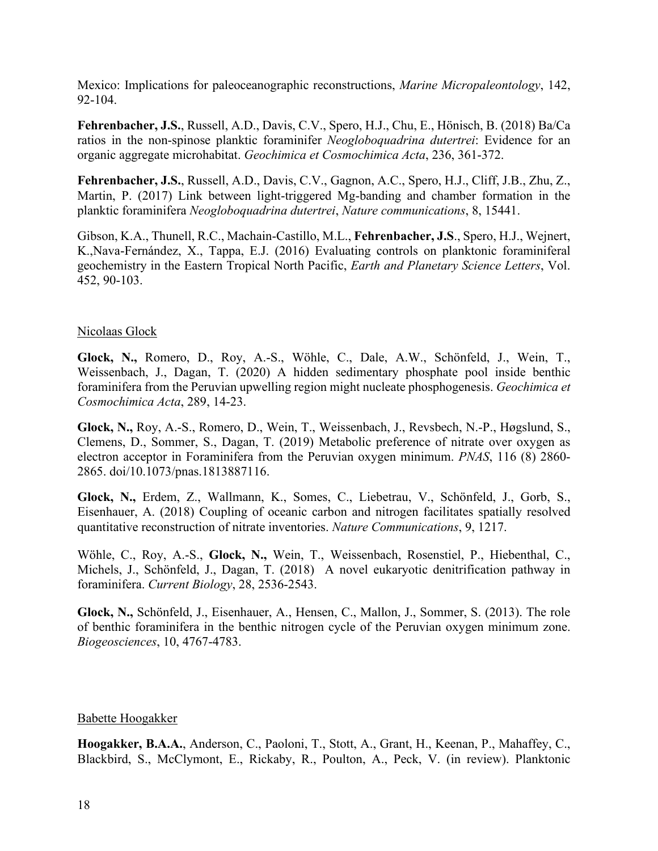Mexico: Implications for paleoceanographic reconstructions, *Marine Micropaleontology*, 142, 92-104.

**Fehrenbacher, J.S.**, Russell, A.D., Davis, C.V., Spero, H.J., Chu, E., Hönisch, B. (2018) Ba/Ca ratios in the non-spinose planktic foraminifer *Neogloboquadrina dutertrei*: Evidence for an organic aggregate microhabitat. *Geochimica et Cosmochimica Acta*, 236, 361-372.

**Fehrenbacher, J.S.**, Russell, A.D., Davis, C.V., Gagnon, A.C., Spero, H.J., Cliff, J.B., Zhu, Z., Martin, P. (2017) Link between light-triggered Mg-banding and chamber formation in the planktic foraminifera *Neogloboquadrina dutertrei*, *Nature communications*, 8, 15441.

Gibson, K.A., Thunell, R.C., Machain-Castillo, M.L., **Fehrenbacher, J.S**., Spero, H.J., Wejnert, K.,Nava-Fernández, X., Tappa, E.J. (2016) Evaluating controls on planktonic foraminiferal geochemistry in the Eastern Tropical North Pacific, *Earth and Planetary Science Letters*, Vol. 452, 90-103.

### Nicolaas Glock

**Glock, N.,** Romero, D., Roy, A.-S., Wöhle, C., Dale, A.W., Schönfeld, J., Wein, T., Weissenbach, J., Dagan, T. (2020) A hidden sedimentary phosphate pool inside benthic foraminifera from the Peruvian upwelling region might nucleate phosphogenesis. *Geochimica et Cosmochimica Acta*, 289, 14-23.

**Glock, N.,** Roy, A.-S., Romero, D., Wein, T., Weissenbach, J., Revsbech, N.-P., Høgslund, S., Clemens, D., Sommer, S., Dagan, T. (2019) Metabolic preference of nitrate over oxygen as electron acceptor in Foraminifera from the Peruvian oxygen minimum. *PNAS*, 116 (8) 2860- 2865. doi/10.1073/pnas.1813887116.

**Glock, N.,** Erdem, Z., Wallmann, K., Somes, C., Liebetrau, V., Schönfeld, J., Gorb, S., Eisenhauer, A. (2018) Coupling of oceanic carbon and nitrogen facilitates spatially resolved quantitative reconstruction of nitrate inventories. *Nature Communications*, 9, 1217.

Wöhle, C., Roy, A.-S., **Glock, N.,** Wein, T., Weissenbach, Rosenstiel, P., Hiebenthal, C., Michels, J., Schönfeld, J., Dagan, T. (2018) A novel eukaryotic denitrification pathway in foraminifera. *Current Biology*, 28, 2536-2543.

**Glock, N.,** Schönfeld, J., Eisenhauer, A., Hensen, C., Mallon, J., Sommer, S. (2013). The role of benthic foraminifera in the benthic nitrogen cycle of the Peruvian oxygen minimum zone. *Biogeosciences*, 10, 4767-4783.

### Babette Hoogakker

**Hoogakker, B.A.A.**, Anderson, C., Paoloni, T., Stott, A., Grant, H., Keenan, P., Mahaffey, C., Blackbird, S., McClymont, E., Rickaby, R., Poulton, A., Peck, V. (in review). Planktonic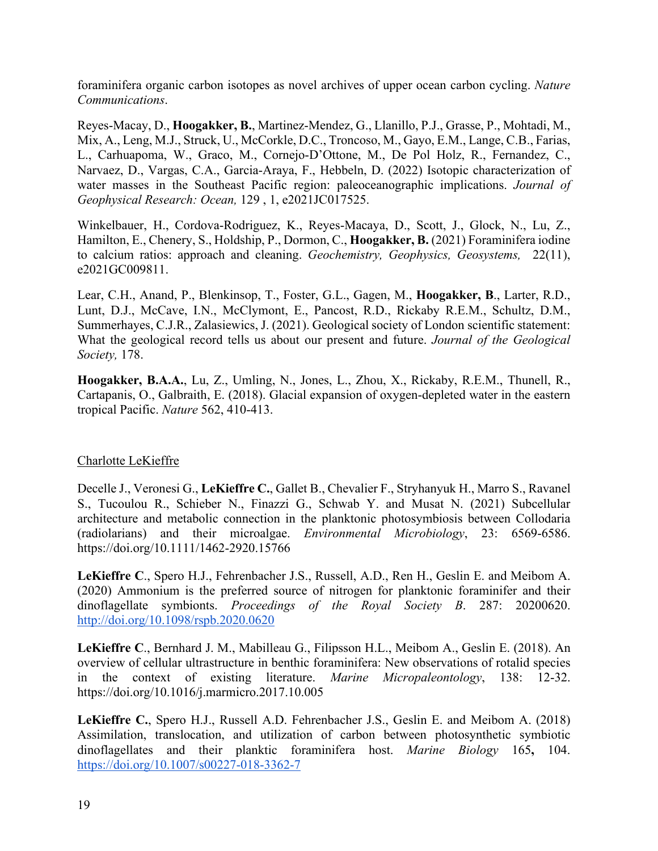foraminifera organic carbon isotopes as novel archives of upper ocean carbon cycling. *Nature Communications*.

Reyes-Macay, D., **Hoogakker, B.**, Martinez-Mendez, G., Llanillo, P.J., Grasse, P., Mohtadi, M., Mix, A., Leng, M.J., Struck, U., McCorkle, D.C., Troncoso, M., Gayo, E.M., Lange, C.B., Farias, L., Carhuapoma, W., Graco, M., Cornejo-D'Ottone, M., De Pol Holz, R., Fernandez, C., Narvaez, D., Vargas, C.A., Garcia-Araya, F., Hebbeln, D. (2022) Isotopic characterization of water masses in the Southeast Pacific region: paleoceanographic implications. *Journal of Geophysical Research: Ocean,* 129 , 1, e2021JC017525.

Winkelbauer, H., Cordova-Rodriguez, K., Reyes-Macaya, D., Scott, J., Glock, N., Lu, Z., Hamilton, E., Chenery, S., Holdship, P., Dormon, C., **Hoogakker, B.** (2021) Foraminifera iodine to calcium ratios: approach and cleaning. *Geochemistry, Geophysics, Geosystems,* 22(11), e2021GC009811.

Lear, C.H., Anand, P., Blenkinsop, T., Foster, G.L., Gagen, M., **Hoogakker, B**., Larter, R.D., Lunt, D.J., McCave, I.N., McClymont, E., Pancost, R.D., Rickaby R.E.M., Schultz, D.M., Summerhayes, C.J.R., Zalasiewics, J. (2021). Geological society of London scientific statement: What the geological record tells us about our present and future. *Journal of the Geological Society,* 178.

**Hoogakker, B.A.A.**, Lu, Z., Umling, N., Jones, L., Zhou, X., Rickaby, R.E.M., Thunell, R., Cartapanis, O., Galbraith, E. (2018). Glacial expansion of oxygen-depleted water in the eastern tropical Pacific. *Nature* 562, 410-413.

# Charlotte LeKieffre

Decelle J., Veronesi G., **LeKieffre C.**, Gallet B., Chevalier F., Stryhanyuk H., Marro S., Ravanel S., Tucoulou R., Schieber N., Finazzi G., Schwab Y. and Musat N. (2021) Subcellular architecture and metabolic connection in the planktonic photosymbiosis between Collodaria (radiolarians) and their microalgae. *Environmental Microbiology*, 23: 6569-6586[.](https://doi.org/10.1111/1462-2920.15766) [https://doi.org/10.1111/1462](https://doi.org/10.1111/1462-2920.15766)-2920.15766

**LeKieffre C**., Spero H.J., Fehrenbacher J.S., Russell, A.D., Ren H., Geslin E. and Meibom A. (2020) Ammonium is the preferred source of nitrogen for planktonic foraminifer and their dinoflagellate symbionts. *Proceedings of the Royal Society B*. 287: 20200620. <http://doi.org/10.1098/rspb.2020.0620>

**LeKieffre C**., Bernhard J. M., Mabilleau G., Filipsson H.L., Meibom A., Geslin E. (2018). An overview of cellular ultrastructure in benthic foraminifera: New observations of rotalid species in the context of existing literature. *Marine Micropaleontology*, 138: 12-32. https://doi.org/10.1016/j.marmicro.2017.10.005

**LeKieffre C.**, Spero H.J., Russell A.D. Fehrenbacher J.S., Geslin E. and Meibom A. (2018) Assimilation, translocation, and utilization of carbon between photosynthetic symbiotic dinoflagellates and their planktic foraminifera host. *Marine Biology* 165**,** 104. [https://doi.org/10.1007/s00227-018-](https://doi.org/10.1007/s00227-018-3362-7)3362-7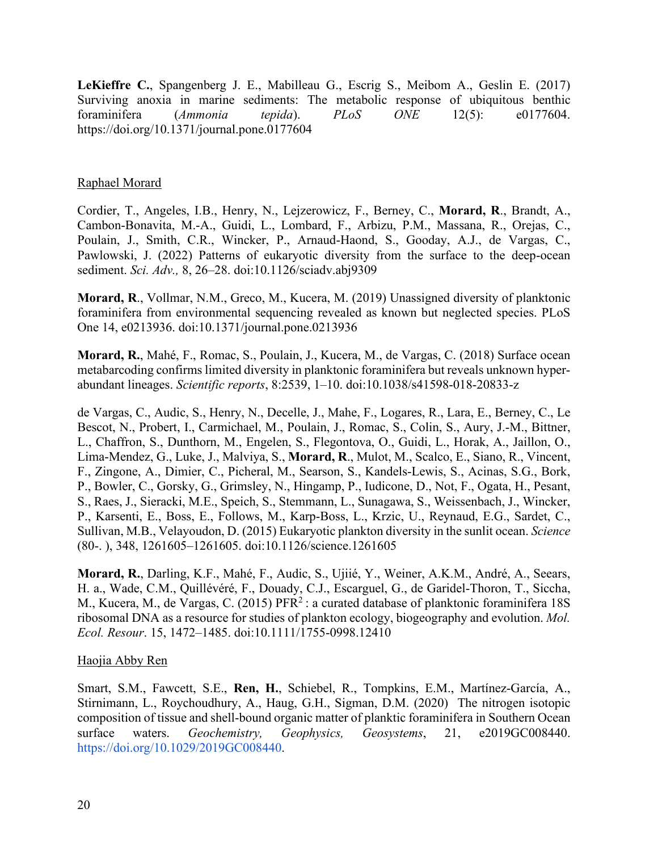**LeKieffre C.**, Spangenberg J. E., Mabilleau G., Escrig S., Meibom A., Geslin E. (2017) Surviving anoxia in marine sediments: The metabolic response of ubiquitous benthic foraminifera (*Ammonia tepida*). *PLoS ONE* 12(5): e0177604. https://doi.org/10.1371/journal.pone.0177604

### Raphael Morard

Cordier, T., Angeles, I.B., Henry, N., Lejzerowicz, F., Berney, C., **Morard, R**., Brandt, A., Cambon-Bonavita, M.-A., Guidi, L., Lombard, F., Arbizu, P.M., Massana, R., Orejas, C., Poulain, J., Smith, C.R., Wincker, P., Arnaud-Haond, S., Gooday, A.J., de Vargas, C., Pawlowski, J. (2022) Patterns of eukaryotic diversity from the surface to the deep-ocean sediment. *Sci. Adv.,* 8, 26–28. doi:10.1126/sciadv.abj9309

**Morard, R**., Vollmar, N.M., Greco, M., Kucera, M. (2019) Unassigned diversity of planktonic foraminifera from environmental sequencing revealed as known but neglected species. PLoS One 14, e0213936. doi:10.1371/journal.pone.0213936

**Morard, R.**, Mahé, F., Romac, S., Poulain, J., Kucera, M., de Vargas, C. (2018) Surface ocean metabarcoding confirms limited diversity in planktonic foraminifera but reveals unknown hyperabundant lineages. *Scientific reports*, 8:2539, 1–10. doi:10.1038/s41598-018-20833-z

de Vargas, C., Audic, S., Henry, N., Decelle, J., Mahe, F., Logares, R., Lara, E., Berney, C., Le Bescot, N., Probert, I., Carmichael, M., Poulain, J., Romac, S., Colin, S., Aury, J.-M., Bittner, L., Chaffron, S., Dunthorn, M., Engelen, S., Flegontova, O., Guidi, L., Horak, A., Jaillon, O., Lima-Mendez, G., Luke, J., Malviya, S., **Morard, R**., Mulot, M., Scalco, E., Siano, R., Vincent, F., Zingone, A., Dimier, C., Picheral, M., Searson, S., Kandels-Lewis, S., Acinas, S.G., Bork, P., Bowler, C., Gorsky, G., Grimsley, N., Hingamp, P., Iudicone, D., Not, F., Ogata, H., Pesant, S., Raes, J., Sieracki, M.E., Speich, S., Stemmann, L., Sunagawa, S., Weissenbach, J., Wincker, P., Karsenti, E., Boss, E., Follows, M., Karp-Boss, L., Krzic, U., Reynaud, E.G., Sardet, C., Sullivan, M.B., Velayoudon, D. (2015) Eukaryotic plankton diversity in the sunlit ocean. *Science*  (80-. ), 348, 1261605–1261605. doi:10.1126/science.1261605

**Morard, R.**, Darling, K.F., Mahé, F., Audic, S., Ujiié, Y., Weiner, A.K.M., André, A., Seears, H. a., Wade, C.M., Quillévéré, F., Douady, C.J., Escarguel, G., de Garidel-Thoron, T., Siccha, M., Kucera, M., de Vargas, C. (2015) PFR<sup>2</sup> : a curated database of planktonic foraminifera 18S ribosomal DNA as a resource for studies of plankton ecology, biogeography and evolution. *Mol. Ecol. Resour*. 15, 1472–1485. doi:10.1111/1755-0998.12410

### Haojia Abby Ren

Smart, S.M., Fawcett, S.E., **Ren, H.**, Schiebel, R., Tompkins, E.M., Martínez‐García, A., Stirnimann, L., Roychoudhury, A., Haug, G.H., Sigman, D.M. (2020) The nitrogen isotopic composition of tissue and shell‐bound organic matter of planktic foraminifera in Southern Ocean surface waters. *Geochemistry, Geophysics, Geosystems*, 21, e2019GC008440. <https://doi.org/10.1029/2019GC008440>.